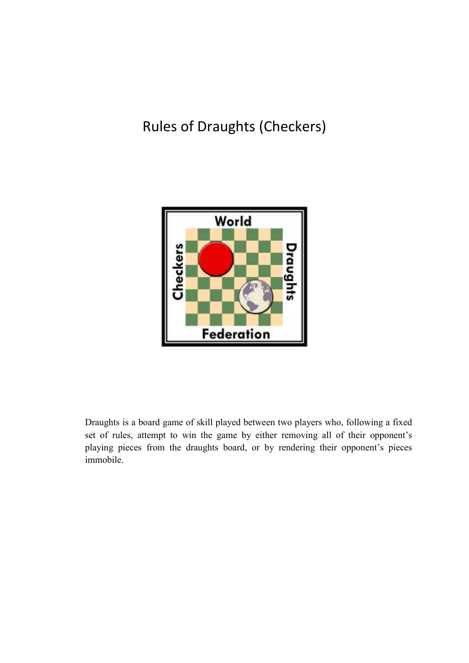# Rules of Draughts (Checkers)



Draughts is a board game of skill played between two players who, following a fixed set of rules, attempt to win the game by either removing all of their opponent's playing pieces from the draughts board, or by rendering their opponent's pieces immobile.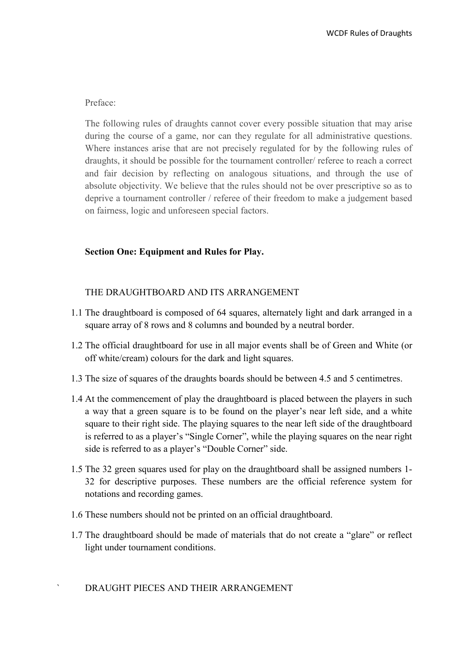## Preface:

The following rules of draughts cannot cover every possible situation that may arise during the course of a game, nor can they regulate for all administrative questions. Where instances arise that are not precisely regulated for by the following rules of draughts, it should be possible for the tournament controller/ referee to reach a correct and fair decision by reflecting on analogous situations, and through the use of absolute objectivity. We believe that the rules should not be over prescriptive so as to deprive a tournament controller / referee of their freedom to make a judgement based on fairness, logic and unforeseen special factors.

## **Section One: Equipment and Rules for Play.**

## THE DRAUGHTBOARD AND ITS ARRANGEMENT

- 1.1 The draughtboard is composed of 64 squares, alternately light and dark arranged in a square array of 8 rows and 8 columns and bounded by a neutral border.
- 1.2 The official draughtboard for use in all major events shall be of Green and White (or off white/cream) colours for the dark and light squares.
- 1.3 The size of squares of the draughts boards should be between 4.5 and 5 centimetres.
- 1.4 At the commencement of play the draughtboard is placed between the players in such a way that a green square is to be found on the player's near left side, and a white square to their right side. The playing squares to the near left side of the draughtboard is referred to as a player's "Single Corner", while the playing squares on the near right side is referred to as a player's "Double Corner" side.
- 1.5 The 32 green squares used for play on the draughtboard shall be assigned numbers 1- 32 for descriptive purposes. These numbers are the official reference system for notations and recording games.
- 1.6 These numbers should not be printed on an official draughtboard.
- 1.7 The draughtboard should be made of materials that do not create a "glare" or reflect light under tournament conditions.

## ` DRAUGHT PIECES AND THEIR ARRANGEMENT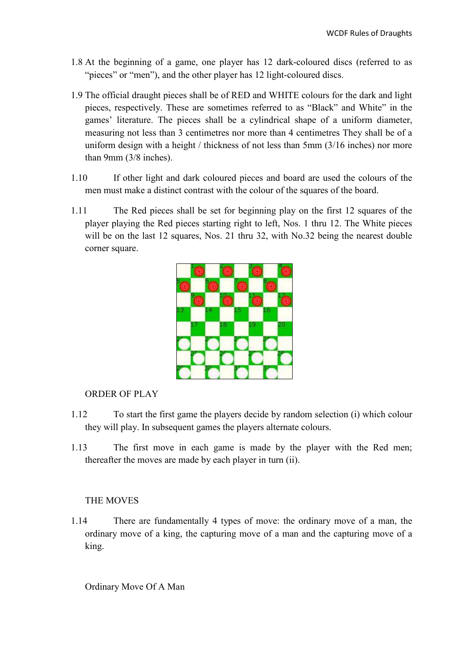- 1.8 At the beginning of a game, one player has 12 dark-coloured discs (referred to as "pieces" or "men"), and the other player has 12 light-coloured discs.
- 1.9 The official draught pieces shall be of RED and WHITE colours for the dark and light pieces, respectively. These are sometimes referred to as "Black" and White" in the games' literature. The pieces shall be a cylindrical shape of a uniform diameter, measuring not less than 3 centimetres nor more than 4 centimetres They shall be of a uniform design with a height / thickness of not less than 5mm (3/16 inches) nor more than 9mm (3/8 inches).
- 1.10 If other light and dark coloured pieces and board are used the colours of the men must make a distinct contrast with the colour of the squares of the board.
- 1.11 The Red pieces shall be set for beginning play on the first 12 squares of the player playing the Red pieces starting right to left, Nos. 1 thru 12. The White pieces will be on the last 12 squares, Nos. 21 thru 32, with No. 32 being the nearest double corner square.



## ORDER OF PLAY

- 1.12 To start the first game the players decide by random selection (i) which colour they will play. In subsequent games the players alternate colours.
- 1.13 The first move in each game is made by the player with the Red men; thereafter the moves are made by each player in turn (ii).

## THE MOVES

1.14 There are fundamentally 4 types of move: the ordinary move of a man, the ordinary move of a king, the capturing move of a man and the capturing move of a king.

Ordinary Move Of A Man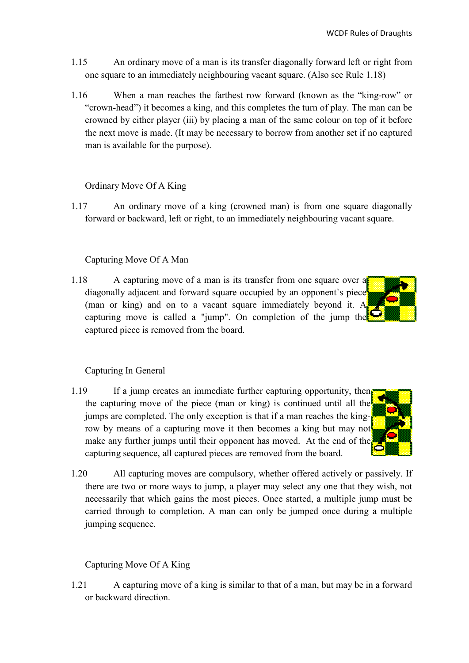- 1.15 An ordinary move of a man is its transfer diagonally forward left or right from one square to an immediately neighbouring vacant square. (Also see Rule 1.18)
- 1.16 When a man reaches the farthest row forward (known as the "king-row" or "crown-head") it becomes a king, and this completes the turn of play. The man can be crowned by either player (iii) by placing a man of the same colour on top of it before the next move is made. (It may be necessary to borrow from another set if no captured man is available for the purpose).

## Ordinary Move Of A King

1.17 An ordinary move of a king (crowned man) is from one square diagonally forward or backward, left or right, to an immediately neighbouring vacant square.

# Capturing Move Of A Man

1.18 A capturing move of a man is its transfer from one square over a diagonally adjacent and forward square occupied by an opponent`s piece (man or king) and on to a vacant square immediately beyond it. A capturing move is called a "jump". On completion of the jump the captured piece is removed from the board.

# Capturing In General

1.19 If a jump creates an immediate further capturing opportunity, then the capturing move of the piece (man or king) is continued until all the jumps are completed. The only exception is that if a man reaches the kingrow by means of a capturing move it then becomes a king but may not make any further jumps until their opponent has moved. At the end of the capturing sequence, all captured pieces are removed from the board.



1.20 All capturing moves are compulsory, whether offered actively or passively. If there are two or more ways to jump, a player may select any one that they wish, not necessarily that which gains the most pieces. Once started, a multiple jump must be carried through to completion. A man can only be jumped once during a multiple jumping sequence.

## Capturing Move Of A King

1.21 A capturing move of a king is similar to that of a man, but may be in a forward or backward direction.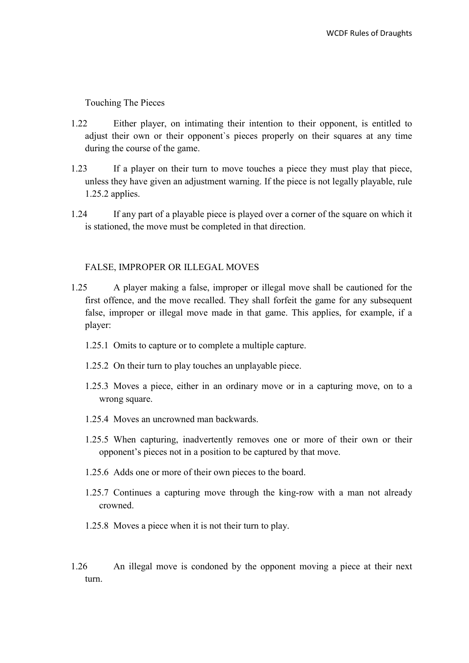Touching The Pieces

- 1.22 Either player, on intimating their intention to their opponent, is entitled to adjust their own or their opponent's pieces properly on their squares at any time during the course of the game.
- 1.23 If a player on their turn to move touches a piece they must play that piece, unless they have given an adjustment warning. If the piece is not legally playable, rule 1.25.2 applies.
- 1.24 If any part of a playable piece is played over a corner of the square on which it is stationed, the move must be completed in that direction.

#### FALSE, IMPROPER OR ILLEGAL MOVES

- 1.25 A player making a false, improper or illegal move shall be cautioned for the first offence, and the move recalled. They shall forfeit the game for any subsequent false, improper or illegal move made in that game. This applies, for example, if a player:
	- 1.25.1 Omits to capture or to complete a multiple capture.
	- 1.25.2 On their turn to play touches an unplayable piece.
	- 1.25.3 Moves a piece, either in an ordinary move or in a capturing move, on to a wrong square.
	- 1.25.4 Moves an uncrowned man backwards.
	- 1.25.5 When capturing, inadvertently removes one or more of their own or their opponent's pieces not in a position to be captured by that move.
	- 1.25.6 Adds one or more of their own pieces to the board.
	- 1.25.7 Continues a capturing move through the king-row with a man not already crowned.
	- 1.25.8 Moves a piece when it is not their turn to play.
- 1.26 An illegal move is condoned by the opponent moving a piece at their next turn.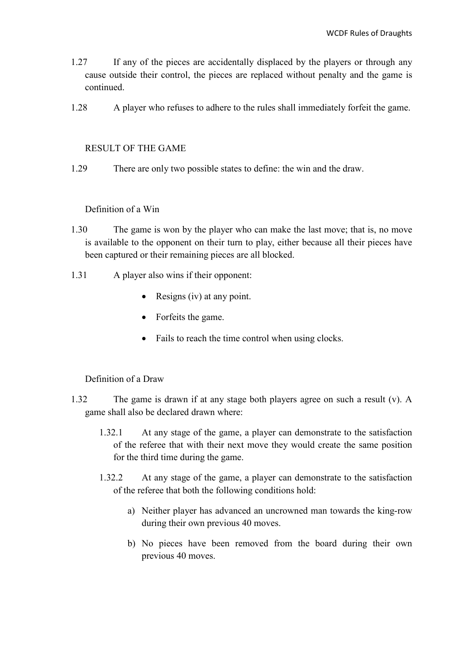- 1.27 If any of the pieces are accidentally displaced by the players or through any cause outside their control, the pieces are replaced without penalty and the game is continued.
- 1.28 A player who refuses to adhere to the rules shall immediately forfeit the game.

## RESULT OF THE GAME

1.29 There are only two possible states to define: the win and the draw.

#### Definition of a Win

- 1.30 The game is won by the player who can make the last move; that is, no move is available to the opponent on their turn to play, either because all their pieces have been captured or their remaining pieces are all blocked.
- 1.31 A player also wins if their opponent:
	- Resigns (iv) at any point.
	- Forfeits the game.
	- Fails to reach the time control when using clocks.

## Definition of a Draw

- 1.32 The game is drawn if at any stage both players agree on such a result (v). A game shall also be declared drawn where:
	- 1.32.1 At any stage of the game, a player can demonstrate to the satisfaction of the referee that with their next move they would create the same position for the third time during the game.
	- 1.32.2 At any stage of the game, a player can demonstrate to the satisfaction of the referee that both the following conditions hold:
		- a) Neither player has advanced an uncrowned man towards the king-row during their own previous 40 moves.
		- b) No pieces have been removed from the board during their own previous 40 moves.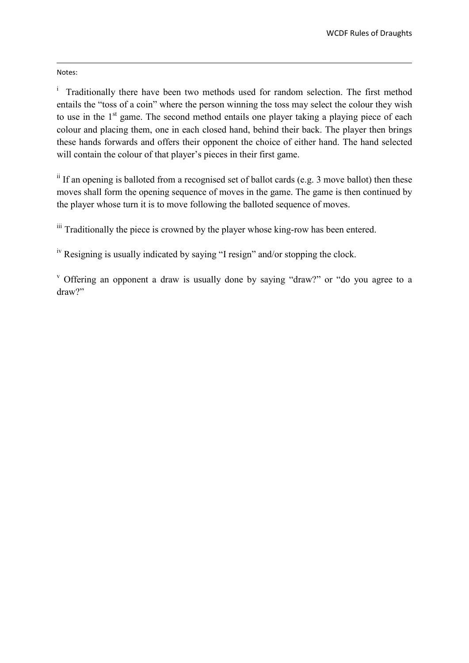$\overline{a}$ Notes:

<sup>i</sup> Traditionally there have been two methods used for random selection. The first method entails the "toss of a coin" where the person winning the toss may select the colour they wish to use in the  $1<sup>st</sup>$  game. The second method entails one player taking a playing piece of each colour and placing them, one in each closed hand, behind their back. The player then brings these hands forwards and offers their opponent the choice of either hand. The hand selected will contain the colour of that player's pieces in their first game.

 $\mathbf{u}$  if an opening is balloted from a recognised set of ballot cards (e.g. 3 move ballot) then these moves shall form the opening sequence of moves in the game. The game is then continued by the player whose turn it is to move following the balloted sequence of moves.

<sup>iii</sup> Traditionally the piece is crowned by the player whose king-row has been entered.

iv Resigning is usually indicated by saying "I resign" and/or stopping the clock.

v Offering an opponent a draw is usually done by saying "draw?" or "do you agree to a draw?"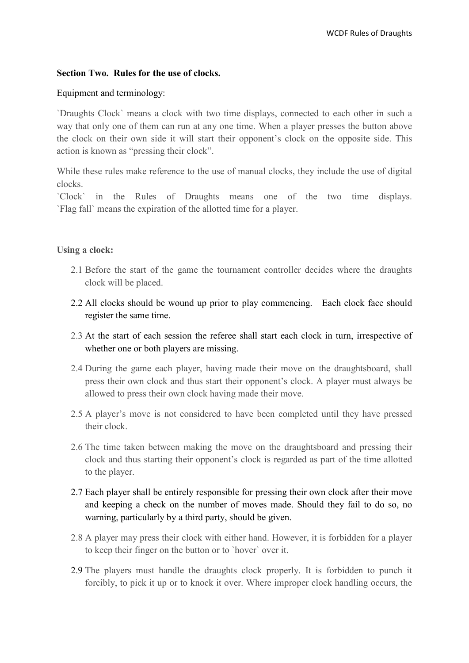#### **Section Two. Rules for the use of clocks.**

#### Equipment and terminology:

 $\overline{a}$ 

`Draughts Clock` means a clock with two time displays, connected to each other in such a way that only one of them can run at any one time. When a player presses the button above the clock on their own side it will start their opponent's clock on the opposite side. This action is known as "pressing their clock".

While these rules make reference to the use of manual clocks, they include the use of digital clocks.

`Clock` in the Rules of Draughts means one of the two time displays. `Flag fall` means the expiration of the allotted time for a player.

## **Using a clock:**

- 2.1 Before the start of the game the tournament controller decides where the draughts clock will be placed.
- 2.2 All clocks should be wound up prior to play commencing. Each clock face should register the same time.
- 2.3 At the start of each session the referee shall start each clock in turn, irrespective of whether one or both players are missing.
- 2.4 During the game each player, having made their move on the draughtsboard, shall press their own clock and thus start their opponent's clock. A player must always be allowed to press their own clock having made their move.
- 2.5 A player's move is not considered to have been completed until they have pressed their clock.
- 2.6 The time taken between making the move on the draughtsboard and pressing their clock and thus starting their opponent's clock is regarded as part of the time allotted to the player.
- 2.7 Each player shall be entirely responsible for pressing their own clock after their move and keeping a check on the number of moves made. Should they fail to do so, no warning, particularly by a third party, should be given.
- 2.8 A player may press their clock with either hand. However, it is forbidden for a player to keep their finger on the button or to `hover` over it.
- 2.9 The players must handle the draughts clock properly. It is forbidden to punch it forcibly, to pick it up or to knock it over. Where improper clock handling occurs, the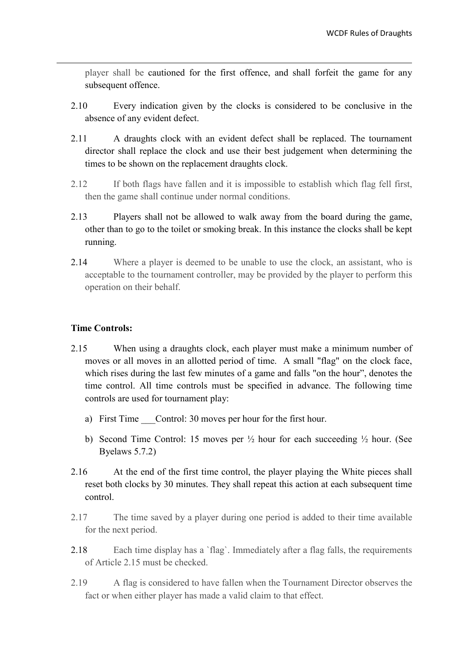player shall be cautioned for the first offence, and shall forfeit the game for any subsequent offence.

- 2.10 Every indication given by the clocks is considered to be conclusive in the absence of any evident defect.
- 2.11 A draughts clock with an evident defect shall be replaced. The tournament director shall replace the clock and use their best judgement when determining the times to be shown on the replacement draughts clock.
- 2.12 If both flags have fallen and it is impossible to establish which flag fell first, then the game shall continue under normal conditions.
- 2.13 Players shall not be allowed to walk away from the board during the game, other than to go to the toilet or smoking break. In this instance the clocks shall be kept running.
- 2.14 Where a player is deemed to be unable to use the clock, an assistant, who is acceptable to the tournament controller, may be provided by the player to perform this operation on their behalf.

# **Time Controls:**

- 2.15 When using a draughts clock, each player must make a minimum number of moves or all moves in an allotted period of time. A small "flag" on the clock face, which rises during the last few minutes of a game and falls "on the hour", denotes the time control. All time controls must be specified in advance. The following time controls are used for tournament play:
	- a) First Time Control: 30 moves per hour for the first hour.
	- b) Second Time Control: 15 moves per  $\frac{1}{2}$  hour for each succeeding  $\frac{1}{2}$  hour. (See Byelaws 5.7.2)
- 2.16 At the end of the first time control, the player playing the White pieces shall reset both clocks by 30 minutes. They shall repeat this action at each subsequent time control.
- 2.17 The time saved by a player during one period is added to their time available for the next period.
- 2.18 Each time display has a `flag`. Immediately after a flag falls, the requirements of Article 2.15 must be checked.
- 2.19 A flag is considered to have fallen when the Tournament Director observes the fact or when either player has made a valid claim to that effect.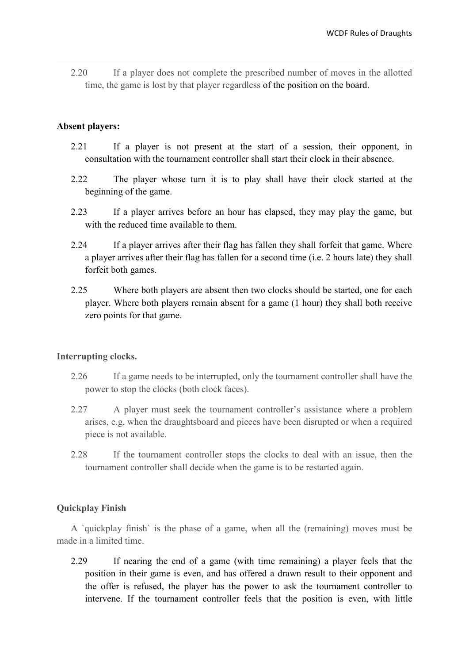2.20 If a player does not complete the prescribed number of moves in the allotted time, the game is lost by that player regardless of the position on the board.

## **Absent players:**

 $\overline{a}$ 

- 2.21 If a player is not present at the start of a session, their opponent, in consultation with the tournament controller shall start their clock in their absence.
- 2.22 The player whose turn it is to play shall have their clock started at the beginning of the game.
- 2.23 If a player arrives before an hour has elapsed, they may play the game, but with the reduced time available to them.
- 2.24 If a player arrives after their flag has fallen they shall forfeit that game. Where a player arrives after their flag has fallen for a second time (i.e. 2 hours late) they shall forfeit both games.
- 2.25 Where both players are absent then two clocks should be started, one for each player. Where both players remain absent for a game (1 hour) they shall both receive zero points for that game.

## **Interrupting clocks.**

- 2.26 If a game needs to be interrupted, only the tournament controller shall have the power to stop the clocks (both clock faces).
- 2.27 A player must seek the tournament controller's assistance where a problem arises, e.g. when the draughtsboard and pieces have been disrupted or when a required piece is not available.
- 2.28 If the tournament controller stops the clocks to deal with an issue, then the tournament controller shall decide when the game is to be restarted again.

## **Quickplay Finish**

A `quickplay finish` is the phase of a game, when all the (remaining) moves must be made in a limited time.

2.29 If nearing the end of a game (with time remaining) a player feels that the position in their game is even, and has offered a drawn result to their opponent and the offer is refused, the player has the power to ask the tournament controller to intervene. If the tournament controller feels that the position is even, with little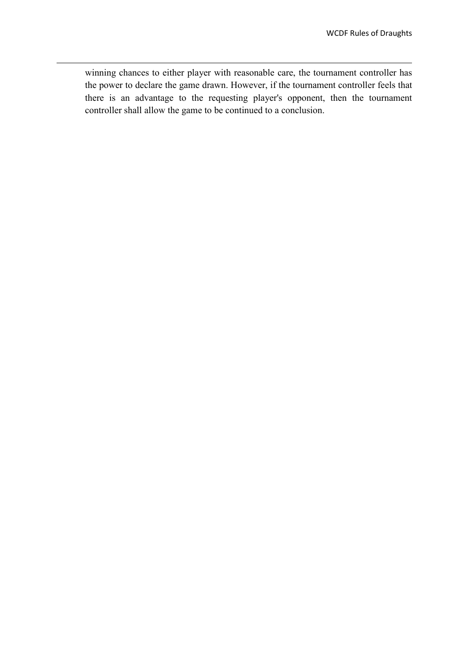winning chances to either player with reasonable care, the tournament controller has the power to declare the game drawn. However, if the tournament controller feels that there is an advantage to the requesting player's opponent, then the tournament controller shall allow the game to be continued to a conclusion.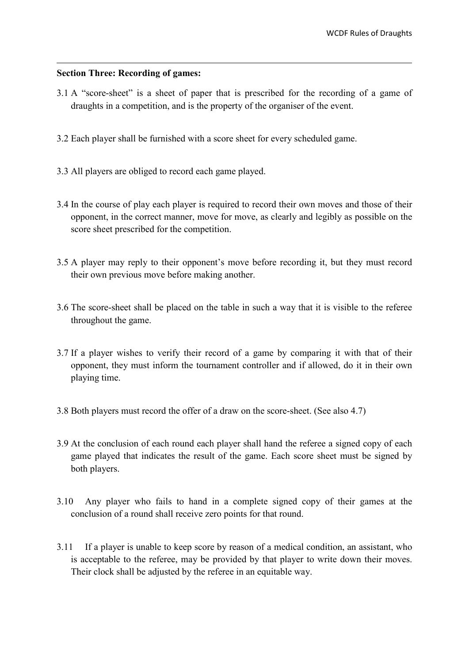## **Section Three: Recording of games:**

- 3.1 A "score-sheet" is a sheet of paper that is prescribed for the recording of a game of draughts in a competition, and is the property of the organiser of the event.
- 3.2 Each player shall be furnished with a score sheet for every scheduled game.
- 3.3 All players are obliged to record each game played.
- 3.4 In the course of play each player is required to record their own moves and those of their opponent, in the correct manner, move for move, as clearly and legibly as possible on the score sheet prescribed for the competition.
- 3.5 A player may reply to their opponent's move before recording it, but they must record their own previous move before making another.
- 3.6 The score-sheet shall be placed on the table in such a way that it is visible to the referee throughout the game.
- 3.7 If a player wishes to verify their record of a game by comparing it with that of their opponent, they must inform the tournament controller and if allowed, do it in their own playing time.
- 3.8 Both players must record the offer of a draw on the score-sheet. (See also 4.7)
- 3.9 At the conclusion of each round each player shall hand the referee a signed copy of each game played that indicates the result of the game. Each score sheet must be signed by both players.
- 3.10 Any player who fails to hand in a complete signed copy of their games at the conclusion of a round shall receive zero points for that round.
- 3.11 If a player is unable to keep score by reason of a medical condition, an assistant, who is acceptable to the referee, may be provided by that player to write down their moves. Their clock shall be adjusted by the referee in an equitable way.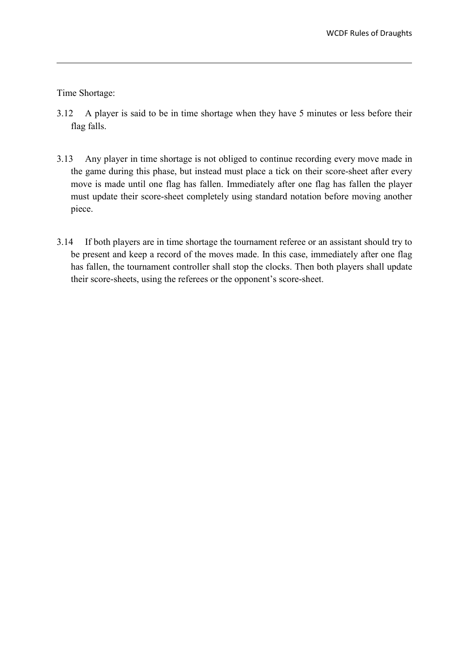Time Shortage:

- 3.12 A player is said to be in time shortage when they have 5 minutes or less before their flag falls.
- 3.13 Any player in time shortage is not obliged to continue recording every move made in the game during this phase, but instead must place a tick on their score-sheet after every move is made until one flag has fallen. Immediately after one flag has fallen the player must update their score-sheet completely using standard notation before moving another piece.
- 3.14 If both players are in time shortage the tournament referee or an assistant should try to be present and keep a record of the moves made. In this case, immediately after one flag has fallen, the tournament controller shall stop the clocks. Then both players shall update their score-sheets, using the referees or the opponent's score-sheet.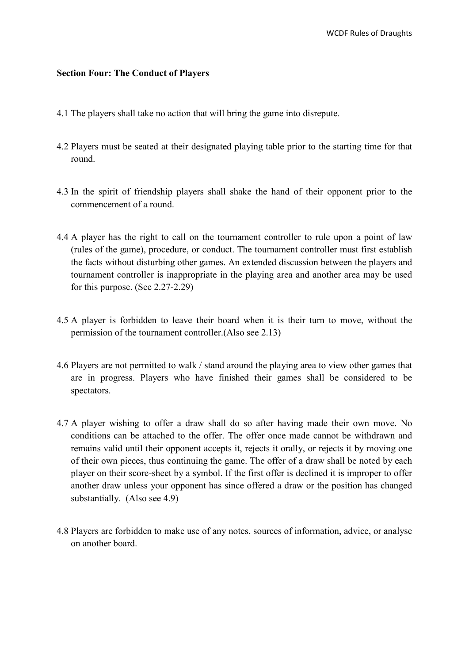#### **Section Four: The Conduct of Players**

- 4.1 The players shall take no action that will bring the game into disrepute.
- 4.2 Players must be seated at their designated playing table prior to the starting time for that round.
- 4.3 In the spirit of friendship players shall shake the hand of their opponent prior to the commencement of a round.
- 4.4 A player has the right to call on the tournament controller to rule upon a point of law (rules of the game), procedure, or conduct. The tournament controller must first establish the facts without disturbing other games. An extended discussion between the players and tournament controller is inappropriate in the playing area and another area may be used for this purpose. (See 2.27-2.29)
- 4.5 A player is forbidden to leave their board when it is their turn to move, without the permission of the tournament controller.(Also see 2.13)
- 4.6 Players are not permitted to walk / stand around the playing area to view other games that are in progress. Players who have finished their games shall be considered to be spectators.
- 4.7 A player wishing to offer a draw shall do so after having made their own move. No conditions can be attached to the offer. The offer once made cannot be withdrawn and remains valid until their opponent accepts it, rejects it orally, or rejects it by moving one of their own pieces, thus continuing the game. The offer of a draw shall be noted by each player on their score-sheet by a symbol. If the first offer is declined it is improper to offer another draw unless your opponent has since offered a draw or the position has changed substantially. (Also see 4.9)
- 4.8 Players are forbidden to make use of any notes, sources of information, advice, or analyse on another board.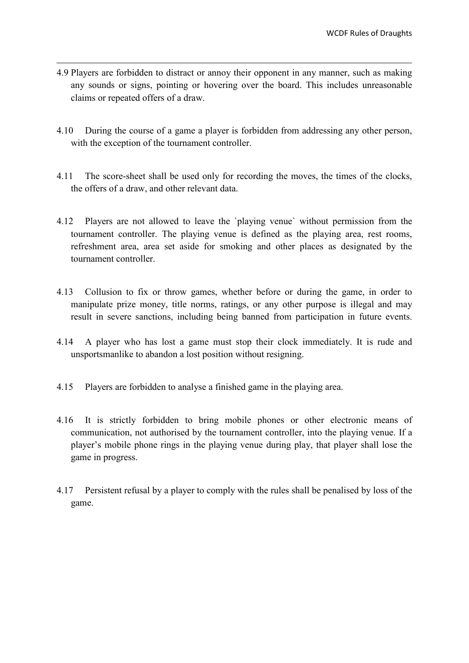4.9 Players are forbidden to distract or annoy their opponent in any manner, such as making any sounds or signs, pointing or hovering over the board. This includes unreasonable claims or repeated offers of a draw.

- 4.10 During the course of a game a player is forbidden from addressing any other person, with the exception of the tournament controller.
- 4.11 The score-sheet shall be used only for recording the moves, the times of the clocks, the offers of a draw, and other relevant data.
- 4.12 Players are not allowed to leave the `playing venue` without permission from the tournament controller. The playing venue is defined as the playing area, rest rooms, refreshment area, area set aside for smoking and other places as designated by the tournament controller.
- 4.13 Collusion to fix or throw games, whether before or during the game, in order to manipulate prize money, title norms, ratings, or any other purpose is illegal and may result in severe sanctions, including being banned from participation in future events.
- 4.14 A player who has lost a game must stop their clock immediately. It is rude and unsportsmanlike to abandon a lost position without resigning.
- 4.15 Players are forbidden to analyse a finished game in the playing area.
- 4.16 It is strictly forbidden to bring mobile phones or other electronic means of communication, not authorised by the tournament controller, into the playing venue. If a player's mobile phone rings in the playing venue during play, that player shall lose the game in progress.
- 4.17 Persistent refusal by a player to comply with the rules shall be penalised by loss of the game.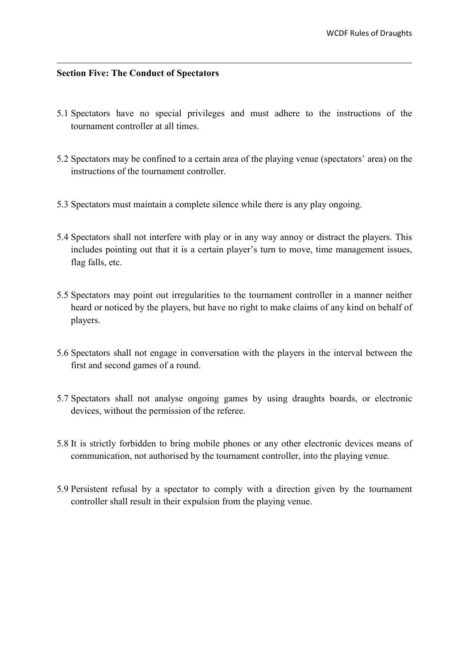#### **Section Five: The Conduct of Spectators**

- 5.1 Spectators have no special privileges and must adhere to the instructions of the tournament controller at all times.
- 5.2 Spectators may be confined to a certain area of the playing venue (spectators' area) on the instructions of the tournament controller.
- 5.3 Spectators must maintain a complete silence while there is any play ongoing.
- 5.4 Spectators shall not interfere with play or in any way annoy or distract the players. This includes pointing out that it is a certain player's turn to move, time management issues, flag falls, etc.
- 5.5 Spectators may point out irregularities to the tournament controller in a manner neither heard or noticed by the players, but have no right to make claims of any kind on behalf of players.
- 5.6 Spectators shall not engage in conversation with the players in the interval between the first and second games of a round.
- 5.7 Spectators shall not analyse ongoing games by using draughts boards, or electronic devices, without the permission of the referee.
- 5.8 It is strictly forbidden to bring mobile phones or any other electronic devices means of communication, not authorised by the tournament controller, into the playing venue.
- 5.9 Persistent refusal by a spectator to comply with a direction given by the tournament controller shall result in their expulsion from the playing venue.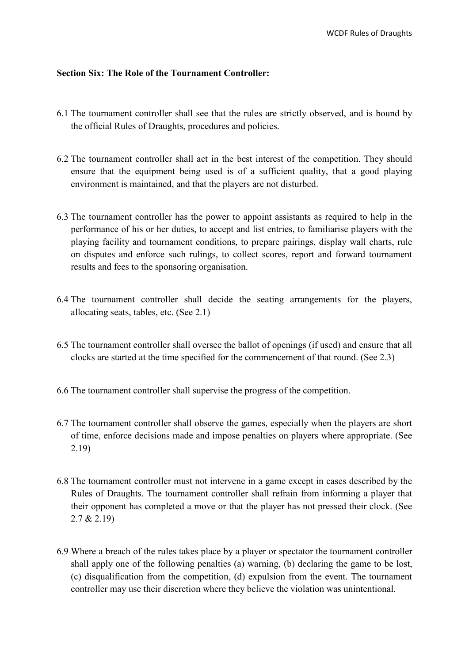#### **Section Six: The Role of the Tournament Controller:**

- 6.1 The tournament controller shall see that the rules are strictly observed, and is bound by the official Rules of Draughts, procedures and policies.
- 6.2 The tournament controller shall act in the best interest of the competition. They should ensure that the equipment being used is of a sufficient quality, that a good playing environment is maintained, and that the players are not disturbed.
- 6.3 The tournament controller has the power to appoint assistants as required to help in the performance of his or her duties, to accept and list entries, to familiarise players with the playing facility and tournament conditions, to prepare pairings, display wall charts, rule on disputes and enforce such rulings, to collect scores, report and forward tournament results and fees to the sponsoring organisation.
- 6.4 The tournament controller shall decide the seating arrangements for the players, allocating seats, tables, etc. (See 2.1)
- 6.5 The tournament controller shall oversee the ballot of openings (if used) and ensure that all clocks are started at the time specified for the commencement of that round. (See 2.3)
- 6.6 The tournament controller shall supervise the progress of the competition.
- 6.7 The tournament controller shall observe the games, especially when the players are short of time, enforce decisions made and impose penalties on players where appropriate. (See 2.19)
- 6.8 The tournament controller must not intervene in a game except in cases described by the Rules of Draughts. The tournament controller shall refrain from informing a player that their opponent has completed a move or that the player has not pressed their clock. (See 2.7 & 2.19)
- 6.9 Where a breach of the rules takes place by a player or spectator the tournament controller shall apply one of the following penalties (a) warning, (b) declaring the game to be lost, (c) disqualification from the competition, (d) expulsion from the event. The tournament controller may use their discretion where they believe the violation was unintentional.